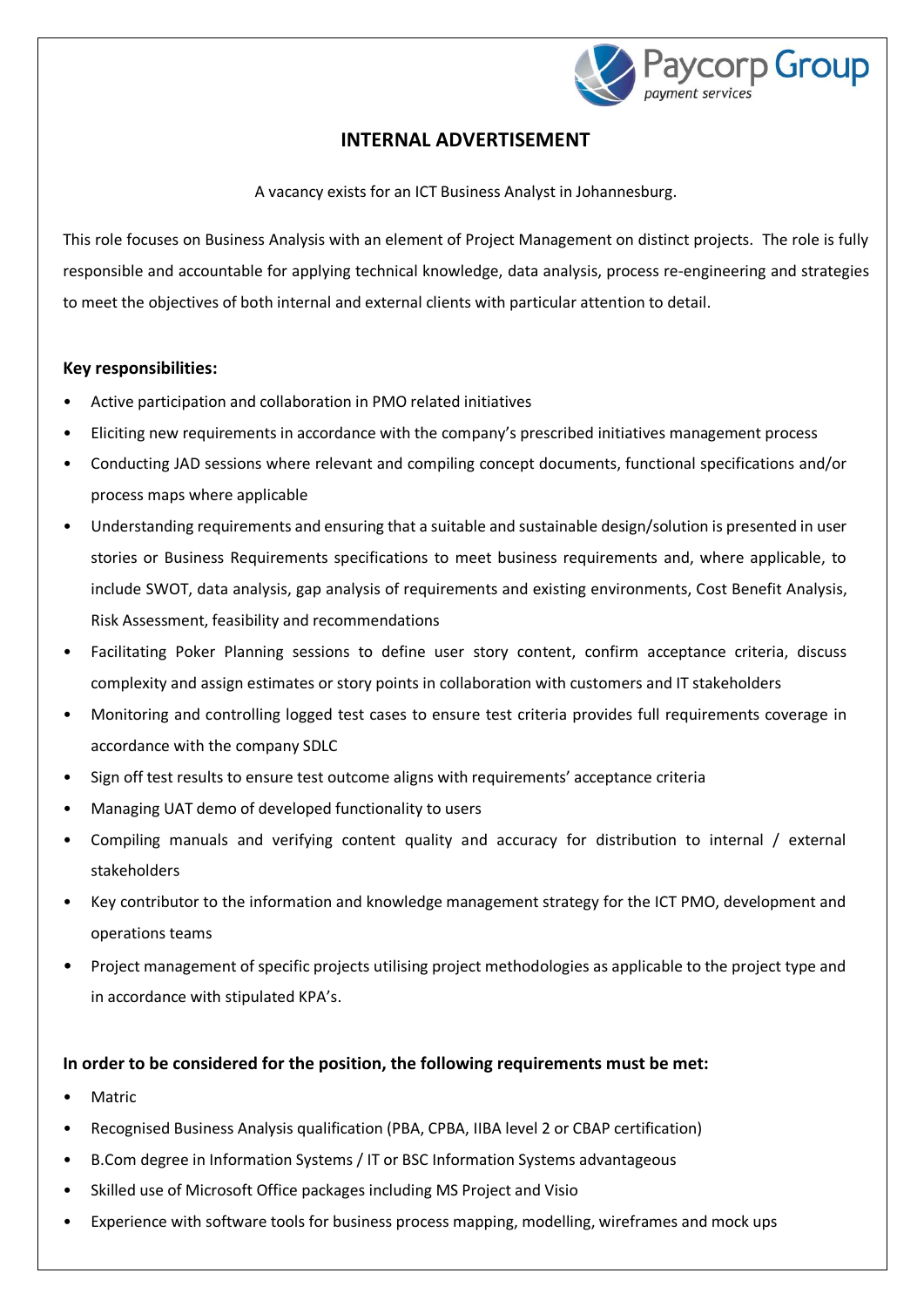

# **INTERNAL ADVERTISEMENT**

A vacancy exists for an ICT Business Analyst in Johannesburg.

This role focuses on Business Analysis with an element of Project Management on distinct projects. The role is fully responsible and accountable for applying technical knowledge, data analysis, process re-engineering and strategies to meet the objectives of both internal and external clients with particular attention to detail.

## **Key responsibilities:**

- Active participation and collaboration in PMO related initiatives
- Eliciting new requirements in accordance with the company's prescribed initiatives management process
- Conducting JAD sessions where relevant and compiling concept documents, functional specifications and/or process maps where applicable
- Understanding requirements and ensuring that a suitable and sustainable design/solution is presented in user stories or Business Requirements specifications to meet business requirements and, where applicable, to include SWOT, data analysis, gap analysis of requirements and existing environments, Cost Benefit Analysis, Risk Assessment, feasibility and recommendations
- Facilitating Poker Planning sessions to define user story content, confirm acceptance criteria, discuss complexity and assign estimates or story points in collaboration with customers and IT stakeholders
- Monitoring and controlling logged test cases to ensure test criteria provides full requirements coverage in accordance with the company SDLC
- Sign off test results to ensure test outcome aligns with requirements' acceptance criteria
- Managing UAT demo of developed functionality to users
- Compiling manuals and verifying content quality and accuracy for distribution to internal / external stakeholders
- Key contributor to the information and knowledge management strategy for the ICT PMO, development and operations teams
- Project management of specific projects utilising project methodologies as applicable to the project type and in accordance with stipulated KPA's.

### **In order to be considered for the position, the following requirements must be met:**

- **Matric**
- Recognised Business Analysis qualification (PBA, CPBA, IIBA level 2 or CBAP certification)
- B.Com degree in Information Systems / IT or BSC Information Systems advantageous
- Skilled use of Microsoft Office packages including MS Project and Visio
- Experience with software tools for business process mapping, modelling, wireframes and mock ups